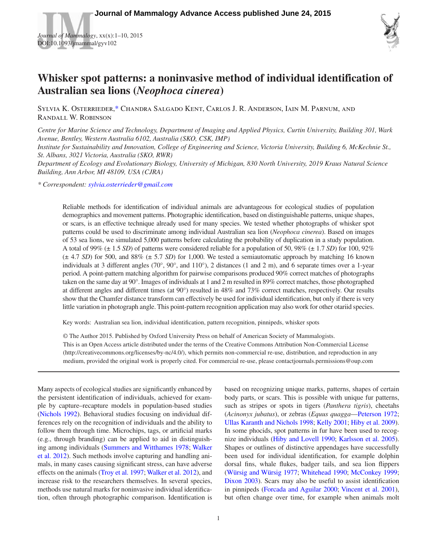*Journal of Mammalogy*, xx(x):1–10, 2015 DOI:10.1093/jmammal/gyv102



# **Whisker spot patterns: a noninvasive method of individual identification of Australian sea lions (***Neophoca cinerea***)**

Sylvia K. Osterrieder[,\\*](#page-0-0) Chandra Salgado Kent, Carlos J. R. Anderson, Iain M. Parnum, and Randall W. Robinson

*Centre for Marine Science and Technology, Department of Imaging and Applied Physics, Curtin University, Building 301, Wark Avenue, Bentley, Western Australia 6102, Australia (SKO, CSK, IMP)*

*Institute for Sustainability and Innovation, College of Engineering and Science, Victoria University, Building 6, McKechnie St., St. Albans, 3021 Victoria, Australia (SKO, RWR)*

*Department of Ecology and Evolutionary Biology, University of Michigan, 830 North University, 2019 Kraus Natural Science Building, Ann Arbor, MI 48109, USA (CJRA)*

<span id="page-0-0"></span>*\* Correspondent: [sylvia.osterrieder@gmail.com](mailto:sylvia.osterrieder@gmail.com?subject=)*

Reliable methods for identification of individual animals are advantageous for ecological studies of population demographics and movement patterns. Photographic identification, based on distinguishable patterns, unique shapes, or scars, is an effective technique already used for many species. We tested whether photographs of whisker spot patterns could be used to discriminate among individual Australian sea lion (*Neophoca cinerea*). Based on images of 53 sea lions, we simulated 5,000 patterns before calculating the probability of duplication in a study population. A total of 99% (± 1.5 *SD*) of patterns were considered reliable for a population of 50, 98% (± 1.7 *SD*) for 100, 92%  $(\pm 4.7 S)$  for 500, and 88%  $(\pm 5.7 S)$  for 1,000. We tested a semiautomatic approach by matching 16 known individuals at 3 different angles (70°, 90°, and 110°), 2 distances (1 and 2 m), and 6 separate times over a 1-year period. A point-pattern matching algorithm for pairwise comparisons produced 90% correct matches of photographs taken on the same day at 90°. Images of individuals at 1 and 2 m resulted in 89% correct matches, those photographed at different angles and different times (at 90°) resulted in 48% and 73% correct matches, respectively. Our results show that the Chamfer distance transform can effectively be used for individual identification, but only if there is very little variation in photograph angle. This point-pattern recognition application may also work for other otariid species.

Key words: Australian sea lion, individual identification, pattern recognition, pinnipeds, whisker spots

© The Author 2015. Published by Oxford University Press on behalf of American Society of Mammalogists. This is an Open Access article distributed under the terms of the Creative Commons Attribution Non-Commercial License (http://creativecommons.org/licenses/by-nc/4.0/), which permits non-commercial re-use, distribution, and reproduction in any medium, provided the original work is properly cited. For commercial re-use, please contactjournals.permissions@oup.com

Many aspects of ecological studies are significantly enhanced by the persistent identification of individuals, achieved for example by capture–recapture models in population-based studies [\(Nichols 1992](#page-9-0)). Behavioral studies focusing on individual differences rely on the recognition of individuals and the ability to follow them through time. Microchips, tags, or artificial marks (e.g., through branding) can be applied to aid in distinguishing among individuals [\(Summers and Witthames 1978](#page-9-1); [Walker](#page-9-2) et [al. 2012](#page-9-2)). Such methods involve capturing and handling animals, in many cases causing significant stress, can have adverse effects on the animals (Troy et [al. 1997;](#page-9-3) [Walker et](#page-9-2) al. 2012), and increase risk to the researchers themselves. In several species, methods use natural marks for noninvasive individual identification, often through photographic comparison. Identification is based on recognizing unique marks, patterns, shapes of certain body parts, or scars. This is possible with unique fur patterns, such as stripes or spots in tigers (*Panthera tigris*), cheetahs (*Acinonyx jubatus*), or zebras (*Equus quagga*[—Peterson 1972](#page-9-4); [Ullas Karanth and Nichols 1998](#page-9-5); [Kelly 2001](#page-9-6); Hiby et [al. 2009](#page-9-7)). In some phocids, spot patterns in fur have been used to recognize individuals ([Hiby and Lovell 1990](#page-9-8); [Karlsson et](#page-9-9) al. 2005). Shapes or outlines of distinctive appendages have successfully been used for individual identification, for example dolphin dorsal fins, whale flukes, badger tails, and sea lion flippers [\(Würsig and Würsig 1977;](#page-9-10) [Whitehead 1990;](#page-9-11) [McConkey 1999](#page-9-12); [Dixon 2003](#page-9-13)). Scars may also be useful to assist identification in pinnipeds [\(Forcada and Aguilar 2000](#page-9-14); [Vincent et](#page-9-15) al. 2001), but often change over time, for example when animals molt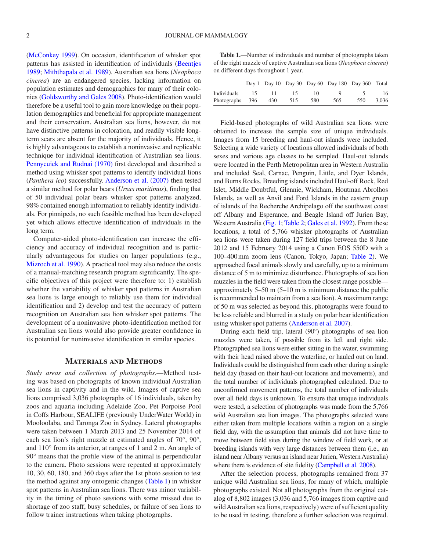[\(McConkey 1999\)](#page-9-12). On occasion, identification of whisker spot patterns has assisted in identification of individuals ([Beentjes](#page-9-16) [1989;](#page-9-16) [Miththapala et](#page-9-17) al. 1989). Australian sea lions (*Neophoca cinerea*) are an endangered species, lacking information on population estimates and demographics for many of their colonies ([Goldsworthy and Gales 2008](#page-9-18)). Photo-identification would therefore be a useful tool to gain more knowledge on their population demographics and beneficial for appropriate management and their conservation. Australian sea lions, however, do not have distinctive patterns in coloration, and readily visible longterm scars are absent for the majority of individuals. Hence, it is highly advantageous to establish a noninvasive and replicable technique for individual identification of Australian sea lions. [Pennycuick and Rudnai \(1970\)](#page-9-19) first developed and described a method using whisker spot patterns to identify individual lions (*Panthera leo*) successfully. [Anderson et](#page-9-20) al. (2007) then tested a similar method for polar bears (*Ursus maritimus*), finding that of 50 individual polar bears whisker spot patterns analyzed, 98% contained enough information to reliably identify individuals. For pinnipeds, no such feasible method has been developed yet which allows effective identification of individuals in the long term.

Computer-aided photo-identification can increase the efficiency and accuracy of individual recognition and is particularly advantageous for studies on larger populations (e.g., [Mizroch et](#page-9-21) al. 1990). A practical tool may also reduce the costs of a manual-matching research program significantly. The specific objectives of this project were therefore to: 1) establish whether the variability of whisker spot patterns in Australian sea lions is large enough to reliably use them for individual identification and 2) develop and test the accuracy of pattern recognition on Australian sea lion whisker spot patterns. The development of a noninvasive photo-identification method for Australian sea lions would also provide greater confidence in its potential for noninvasive identification in similar species.

#### **Materials and Methods**

*Study areas and collection of photographs.*—Method testing was based on photographs of known individual Australian sea lions in captivity and in the wild. Images of captive sea lions comprised 3,036 photographs of 16 individuals, taken by zoos and aquaria including Adelaide Zoo, Pet Porpoise Pool in Coffs Harbour, SEALIFE (previously UnderWater World) in Mooloolaba, and Taronga Zoo in Sydney. Lateral photographs were taken between 1 March 2013 and 25 November 2014 of each sea lion's right muzzle at estimated angles of 70°, 90°, and 110° from its anterior, at ranges of 1 and 2 m. An angle of 90° means that the profile view of the animal is perpendicular to the camera. Photo sessions were repeated at approximately 10, 30, 60, 180, and 360 days after the 1st photo session to test the method against any ontogenic changes [\(Table](#page-1-0) 1) in whisker spot patterns in Australian sea lions. There was minor variability in the timing of photo sessions with some missed due to shortage of zoo staff, busy schedules, or failure of sea lions to follow trainer instructions when taking photographs.

<span id="page-1-0"></span>**Table 1.**—Number of individuals and number of photographs taken of the right muzzle of captive Australian sea lions (*Neophoca cinerea*) on different days throughout 1 year.

|             |     |     |     |                          |     | Day 1 Day 10 Day 30 Day 60 Day 180 Day 360 Total |       |
|-------------|-----|-----|-----|--------------------------|-----|--------------------------------------------------|-------|
| Individuals |     |     | רו  | $\mathbf{I}(\mathbf{I})$ |     |                                                  | 16    |
| Photographs | 396 | 430 | 515 | 580                      | 565 | 550                                              | 3.036 |

Field-based photographs of wild Australian sea lions were obtained to increase the sample size of unique individuals. Images from 15 breeding and haul-out islands were included. Selecting a wide variety of locations allowed individuals of both sexes and various age classes to be sampled. Haul-out islands were located in the Perth Metropolitan area in Western Australia and included Seal, Carnac, Penguin, Little, and Dyer Islands, and Burns Rocks. Breeding islands included Haul-off Rock, Red Islet, Middle Doubtful, Glennie, Wickham, Houtman Abrolhos Islands, as well as Anvil and Ford Islands in the eastern group of islands of the Recherche Archipelago off the southwest coast off Albany and Esperance, and Beagle Island off Jurien Bay, Western Australia ([Fig.](#page-2-0) 1; [Table](#page-3-0) 2; [Gales et](#page-9-22) al. 1992). From these locations, a total of 5,766 whisker photographs of Australian sea lions were taken during 127 field trips between the 8 June 2012 and 15 February 2014 using a Canon EOS 550D with a 100–400mm zoom lens (Canon, Tokyo, Japan; [Table](#page-3-0) 2). We approached focal animals slowly and carefully, up to a minimum distance of 5 m to minimize disturbance. Photographs of sea lion muzzles in the field were taken from the closest range possible approximately 5–50 m (5–10 m is minimum distance the public is recommended to maintain from a sea lion). A maximum range of 50 m was selected as beyond this, photographs were found to be less reliable and blurred in a study on polar bear identification using whisker spot patterns [\(Anderson et](#page-9-20) al. 2007).

During each field trip, lateral (90°) photographs of sea lion muzzles were taken, if possible from its left and right side. Photographed sea lions were either sitting in the water, swimming with their head raised above the waterline, or hauled out on land. Individuals could be distinguished from each other during a single field day (based on their haul-out locations and movements), and the total number of individuals photographed calculated. Due to unconfirmed movement patterns, the total number of individuals over all field days is unknown. To ensure that unique individuals were tested, a selection of photographs was made from the 5,766 wild Australian sea lion images. The photographs selected were either taken from multiple locations within a region on a single field day, with the assumption that animals did not have time to move between field sites during the window of field work, or at breeding islands with very large distances between them (i.e., an island near Albany versus an island near Jurien, Western Australia) where there is evidence of site fidelity ([Campbell et](#page-9-23) al. 2008).

After the selection process, photographs remained from 37 unique wild Australian sea lions, for many of which, multiple photographs existed. Not all photographs from the original catalog of 8,802 images (3,036 and 5,766 images from captive and wild Australian sea lions, respectively) were of sufficient quality to be used in testing, therefore a further selection was required.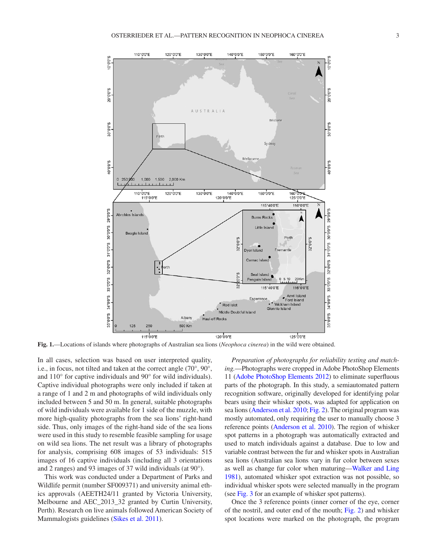

**Fig. 1.**—Locations of islands where photographs of Australian sea lions (*Neophoca cinerea*) in the wild were obtained.

In all cases, selection was based on user interpreted quality, i.e., in focus, not tilted and taken at the correct angle (70°, 90°, and 110° for captive individuals and 90° for wild individuals). Captive individual photographs were only included if taken at a range of 1 and 2 m and photographs of wild individuals only included between 5 and 50 m. In general, suitable photographs of wild individuals were available for 1 side of the muzzle, with more high-quality photographs from the sea lions' right-hand side. Thus, only images of the right-hand side of the sea lions were used in this study to resemble feasible sampling for usage on wild sea lions. The net result was a library of photographs for analysis, comprising 608 images of 53 individuals: 515 images of 16 captive individuals (including all 3 orientations and 2 ranges) and 93 images of 37 wild individuals (at 90°).

This work was conducted under a Department of Parks and Wildlife permit (number SF009371) and university animal ethics approvals (AEETH24/11 granted by Victoria University, Melbourne and AEC\_2013\_32 granted by Curtin University, Perth). Research on live animals followed American Society of Mammalogists guidelines (Sikes et [al. 2011\)](#page-9-24).

<span id="page-2-0"></span>*Preparation of photographs for reliability testing and matching.*—Photographs were cropped in Adobe PhotoShop Elements 11 [\(Adobe PhotoShop Elements 2012\)](#page-9-25) to eliminate superfluous parts of the photograph. In this study, a semiautomated pattern recognition software, originally developed for identifying polar bears using their whisker spots, was adapted for application on sea lions [\(Anderson et](#page-9-26) al. 2010; [Fig.](#page-4-0) 2). The original program was mostly automated, only requiring the user to manually choose 3 reference points ([Anderson et](#page-9-26) al. 2010). The region of whisker spot patterns in a photograph was automatically extracted and used to match individuals against a database. Due to low and variable contrast between the fur and whisker spots in Australian sea lions (Australian sea lions vary in fur color between sexes as well as change fur color when maturing[—Walker and Ling](#page-9-27) [1981\)](#page-9-27), automated whisker spot extraction was not possible, so individual whisker spots were selected manually in the program (see [Fig.](#page-4-1) 3 for an example of whisker spot patterns).

Once the 3 reference points (inner corner of the eye, corner of the nostril, and outer end of the mouth; [Fig.](#page-4-0) 2) and whisker spot locations were marked on the photograph, the program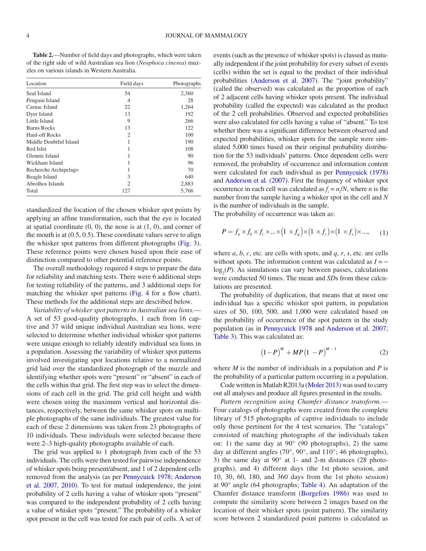<span id="page-3-0"></span>**Table 2.**—Number of field days and photographs, which were taken of the right side of wild Australian sea lion (*Neophoca cinerea*) muzzles on various islands in Western Australia.

| Location               | Field days | Photographs<br>2,360 |  |
|------------------------|------------|----------------------|--|
| Seal Island            | 54         |                      |  |
| Penguin Island         | 4          | 28                   |  |
| Carnac Island          | 22         | 1,264                |  |
| Dyer Island            | 13         | 192                  |  |
| Little Island          | 9          | 266                  |  |
| <b>Burns Rocks</b>     | 13         | 122                  |  |
| Haul-off Rocks         | 2          | 100                  |  |
| Middle Doubtful Island |            | 190                  |  |
| Red Islet              |            | 108                  |  |
| Glennie Island         |            | 90                   |  |
| Wickham Island         |            | 96                   |  |
| Recherche Archipelago  |            | 70                   |  |
| Beagle Island          | 3          | 640                  |  |
| Abrolhos Islands       | 2          | 2,883                |  |
| Total                  | 127        | 5,766                |  |

standardized the location of the chosen whisker spot points by applying an affine transformation, such that the eye is located at spatial coordinate  $(0, 0)$ , the nose is at  $(1, 0)$ , and corner of the mouth is at (0.5, 0.5). These coordinate values serve to align the whisker spot patterns from different photographs [\(Fig.](#page-4-1) 3). These reference points were chosen based upon their ease of distinction compared to other potential reference points.

The overall methodology required 4 steps to prepare the data for reliability and matching tests. There were 6 additional steps for testing reliability of the patterns, and 3 additional steps for matching the whisker spot patterns ([Fig.](#page-5-0) 4 for a flow chart). These methods for the additional steps are described below.

*Variability of whisker spot patterns in Australian sea lions.*— A set of 53 good-quality photographs, 1 each from 16 captive and 37 wild unique individual Australian sea lions, were selected to determine whether individual whisker spot patterns were unique enough to reliably identify individual sea lions in a population. Assessing the variability of whisker spot patterns involved investigating spot locations relative to a normalized grid laid over the standardized photograph of the muzzle and identifying whether spots were "present" or "absent" in each of the cells within that grid. The first step was to select the dimensions of each cell in the grid. The grid cell height and width were chosen using the maximum vertical and horizontal distances, respectively, between the same whisker spots on multiple photographs of the same individuals. The greatest value for each of these 2 dimensions was taken from 23 photographs of 10 individuals. These individuals were selected because there were 2–3 high-quality photographs available of each.

The grid was applied to 1 photograph from each of the 53 individuals. The cells were then tested for pairwise independence of whisker spots being present/absent, and 1 of 2 dependent cells removed from the analysis (as per [Pennycuick 1978;](#page-9-28) [Anderson](#page-9-20) et [al. 2007,](#page-9-20) [2010\)](#page-9-26). To test for mutual independence, the joint probability of 2 cells having a value of whisker spots "present" was compared to the independent probability of 2 cells having a value of whisker spots "present." The probability of a whisker spot present in the cell was tested for each pair of cells. A set of events (such as the presence of whisker spots) is classed as mutually independent if the joint probability for every subset of events (cells) within the set is equal to the product of their individual probabilities [\(Anderson et](#page-9-20) al. 2007). The "joint probability" (called the observed) was calculated as the proportion of each of 2 adjacent cells having whisker spots present. The individual probability (called the expected) was calculated as the product of the 2 cell probabilities. Observed and expected probabilities were also calculated for cells having a value of "absent." To test whether there was a significant difference between observed and expected probabilities, whisker spots for the sample were simulated 5,000 times based on their original probability distribution for the 53 individuals' patterns. Once dependent cells were removed, the probability of occurrence and information content were calculated for each individual as per [Pennycuick \(1978\)](#page-9-28) and [Anderson et](#page-9-20) al. (2007). First the frequency of whisker spot occurrence in each cell was calculated as  $f_i = n/N$ , where *n* is the number from the sample having a whisker spot in the cell and *N* is the number of individuals in the sample.

The probability of occurrence was taken as:

$$
P = f_a \times f_b \times f_c \times \dots \times (1 \times f_q) \times (1 \times f_r) \times (1 \times f_s) \times \dots,
$$
 (1)

where *a*, *b*, *c*, etc. are cells with spots, and *q*, *r*, *s*, etc. are cells without spots. The information content was calculated as *I* = −  $log_2(P)$ . As simulations can vary between passes, calculations were conducted 50 times. The mean and *SD*s from these calculations are presented.

The probability of duplication, that means that at most one individual has a specific whisker spot pattern, in population sizes of 50, 100, 500, and 1,000 were calculated based on the probability of occurrence of the spot pattern in the study population (as in [Pennycuick 1978](#page-9-28) and [Anderson et](#page-9-20) al. 2007; [Table](#page-5-1) 3). This was calculated as:

$$
(1 - P)^{M} + MP(1 - P)^{M-1}
$$
 (2)

where *M* is the number of individuals in a population and *P* is the probability of a particular pattern occurring in a population.

Code written in Matlab R2013a [\(Moler 2013](#page-9-29)) was used to carry out all analyses and produce all figures presented in the results.

*Pattern recognition using Chamfer distance transform.*— Four catalogs of photographs were created from the complete library of 515 photographs of captive individuals to include only those pertinent for the 4 test scenarios. The "catalogs" consisted of matching photographs of the individuals taken on: 1) the same day at 90° (90 photographs), 2) the same day at different angles (70°, 90°, and 110°; 46 photographs), 3) the same day at 90° at 1- and 2-m distances (28 photographs), and 4) different days (the 1st photo session, and 10, 30, 60, 180, and 360 days from the 1st photo session) at 90° angle (64 photographs; [Table](#page-5-2) 4). An adaptation of the Chamfer distance transform ([Borgefors 1986\)](#page-9-30) was used to compute the similarity score between 2 images based on the location of their whisker spots (point pattern). The similarity score between 2 standardized point patterns is calculated as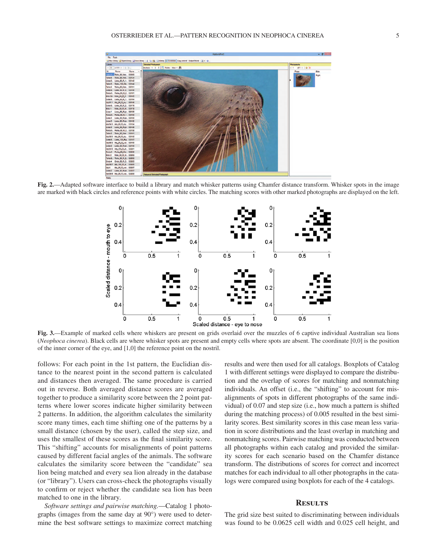

**Fig. 2.**—Adapted software interface to build a library and match whisker patterns using Chamfer distance transform. Whisker spots in the image are marked with black circles and reference points with white circles. The matching scores with other marked photographs are displayed on the left.

<span id="page-4-0"></span>

**Fig. 3.**—Example of marked cells where whiskers are present on grids overlaid over the muzzles of 6 captive individual Australian sea lions (*Neophoca cinerea*). Black cells are where whisker spots are present and empty cells where spots are absent. The coordinate [0,0] is the position of the inner corner of the eye, and [1,0] the reference point on the nostril.

follows: For each point in the 1st pattern, the Euclidian distance to the nearest point in the second pattern is calculated and distances then averaged. The same procedure is carried out in reverse. Both averaged distance scores are averaged together to produce a similarity score between the 2 point patterns where lower scores indicate higher similarity between 2 patterns. In addition, the algorithm calculates the similarity score many times, each time shifting one of the patterns by a small distance (chosen by the user), called the step size, and uses the smallest of these scores as the final similarity score. This "shifting" accounts for misalignments of point patterns caused by different facial angles of the animals. The software calculates the similarity score between the "candidate" sea lion being matched and every sea lion already in the database (or "library"). Users can cross-check the photographs visually to confirm or reject whether the candidate sea lion has been matched to one in the library.

*Software settings and pairwise matching.*—Catalog 1 photographs (images from the same day at 90°) were used to determine the best software settings to maximize correct matching <span id="page-4-1"></span>results and were then used for all catalogs. Boxplots of Catalog 1 with different settings were displayed to compare the distribution and the overlap of scores for matching and nonmatching individuals. An offset (i.e., the "shifting" to account for misalignments of spots in different photographs of the same individual) of 0.07 and step size (i.e., how much a pattern is shifted during the matching process) of 0.005 resulted in the best similarity scores. Best similarity scores in this case mean less variation in score distributions and the least overlap in matching and nonmatching scores. Pairwise matching was conducted between all photographs within each catalog and provided the similarity scores for each scenario based on the Chamfer distance transform. The distributions of scores for correct and incorrect matches for each individual to all other photographs in the catalogs were compared using boxplots for each of the 4 catalogs.

## **Results**

The grid size best suited to discriminating between individuals was found to be 0.0625 cell width and 0.025 cell height, and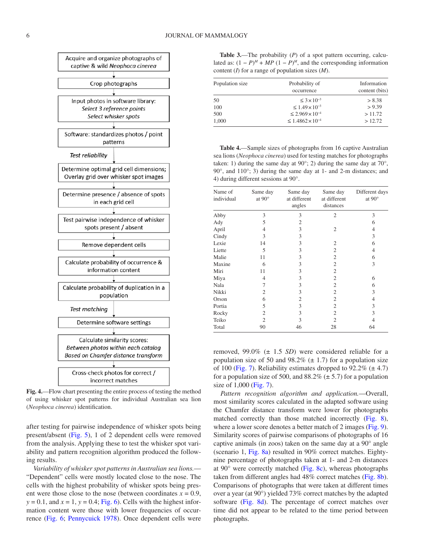

<span id="page-5-0"></span>**Fig. 4.**—Flow chart presenting the entire process of testing the method of using whisker spot patterns for individual Australian sea lion (*Neophoca cinerea*) identification.

after testing for pairwise independence of whisker spots being present/absent [\(Fig.](#page-6-0) 5), 1 of 2 dependent cells were removed from the analysis. Applying these to test the whisker spot variability and pattern recognition algorithm produced the following results.

*Variability of whisker spot patterns in Australian sea lions.*— "Dependent" cells were mostly located close to the nose. The cells with the highest probability of whisker spots being present were those close to the nose (between coordinates  $x = 0.9$ ,  $y = 0.1$ , and  $x = 1$ ,  $y = 0.4$ ; [Fig.](#page-6-1) 6). Cells with the highest information content were those with lower frequencies of occurrence ([Fig.](#page-6-1) 6; [Pennycuick 1978](#page-9-28)). Once dependent cells were

<span id="page-5-1"></span>**Table 3.**—The probability (*P*) of a spot pattern occurring, calculated as:  $(1 - P)^M$  + *MP*  $(1 - P)^M$ , and the corresponding information content (*I*) for a range of population sizes (*M*).

| Population size | Probability of<br>occurrence       | Information<br>content (bits) |  |
|-----------------|------------------------------------|-------------------------------|--|
| 50              | $\leq$ 3 $\times$ 10 <sup>-3</sup> | > 8.38                        |  |
| 100             | $\leq 1.49 \times 10^{-3}$         | > 9.39                        |  |
| 500             | $\leq 2.969 \times 10^{-4}$        | >11.72                        |  |
| 1,000           | $\leq 1.4862 \times 10^{-4}$       | >12.72                        |  |

<span id="page-5-2"></span>**Table 4.**—Sample sizes of photographs from 16 captive Australian sea lions (*Neophoca cinerea*) used for testing matches for photographs taken: 1) during the same day at  $90^\circ$ ; 2) during the same day at  $70^\circ$ , 90°, and 110°; 3) during the same day at 1- and 2-m distances; and 4) during different sessions at 90°.

| Name of<br>individual | Same day<br>at $90^\circ$ | Same day<br>at different<br>angles | Same day<br>at different<br>distances | Different days<br>at $90^\circ$ |
|-----------------------|---------------------------|------------------------------------|---------------------------------------|---------------------------------|
| Abby                  | 3                         | 3                                  | $\overline{2}$                        | 3                               |
| Ady                   | 5                         | $\overline{2}$                     |                                       | 6                               |
| April                 | 4                         | 3                                  | $\overline{2}$                        | 4                               |
| Cindy                 | 3                         | 3                                  |                                       | 3                               |
| Lexie                 | 14                        | 3                                  | $\overline{c}$                        | 6                               |
| Liette                | 5                         | 3                                  | $\overline{c}$                        | 4                               |
| Malie                 | 11                        | 3                                  | $\overline{2}$                        | 6                               |
| Maxine                | 6                         | 3                                  | $\overline{c}$                        | 3                               |
| Miri                  | 11                        | 3                                  | $\overline{2}$                        |                                 |
| Miya                  | 4                         | 3                                  | $\overline{2}$                        | 6                               |
| Nala                  | 7                         | 3                                  | $\overline{c}$                        | 6                               |
| Nikki                 | 2                         | 3                                  | $\overline{2}$                        | 3                               |
| Orson                 | 6                         | $\overline{2}$                     | $\overline{2}$                        | 4                               |
| Portia                | 5                         | 3                                  | 2                                     | 3                               |
| Rocky                 | $\overline{2}$            | 3                                  | 2                                     | 3                               |
| Teiko                 | $\mathfrak{D}$            | 3                                  | $\mathfrak{D}$                        |                                 |
| Total                 | 90                        | 46                                 | 28                                    | 64                              |

removed, 99.0% (± 1.5 *SD*) were considered reliable for a population size of 50 and 98.2% ( $\pm$  1.7) for a population size of 100 [\(Fig.](#page-7-0) 7). Reliability estimates dropped to  $92.2\%$  ( $\pm$  4.7) for a population size of 500, and  $88.2\%$  ( $\pm$  5.7) for a population size of 1,000 [\(Fig.](#page-7-0) 7).

*Pattern recognition algorithm and application.*—Overall, most similarity scores calculated in the adapted software using the Chamfer distance transform were lower for photographs matched correctly than those matched incorrectly [\(Fig.](#page-7-1) 8), where a lower score denotes a better match of 2 images [\(Fig.](#page-8-0) 9). Similarity scores of pairwise comparisons of photographs of 16 captive animals (in zoos) taken on the same day at a 90° angle (scenario 1, [Fig.](#page-7-1) 8a) resulted in 90% correct matches. Eightynine percentage of photographs taken at 1- and 2-m distances at 90° were correctly matched ([Fig.](#page-7-1) 8c), whereas photographs taken from different angles had 48% correct matches [\(Fig.](#page-7-1) 8b). Comparisons of photographs that were taken at different times over a year (at 90°) yielded 73% correct matches by the adapted software [\(Fig.](#page-7-1) 8d). The percentage of correct matches over time did not appear to be related to the time period between photographs.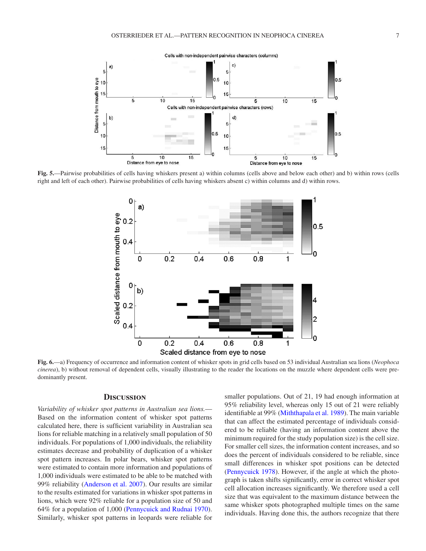

**Fig. 5.**—Pairwise probabilities of cells having whiskers present a) within columns (cells above and below each other) and b) within rows (cells right and left of each other). Pairwise probabilities of cells having whiskers absent c) within columns and d) within rows.

<span id="page-6-0"></span>

**Fig. 6.**—a) Frequency of occurrence and information content of whisker spots in grid cells based on 53 individual Australian sea lions (*Neophoca cinerea*), b) without removal of dependent cells, visually illustrating to the reader the locations on the muzzle where dependent cells were predominantly present.

### **Discussion**

*Variability of whisker spot patterns in Australian sea lions.*— Based on the information content of whisker spot patterns calculated here, there is sufficient variability in Australian sea lions for reliable matching in a relatively small population of 50 individuals. For populations of 1,000 individuals, the reliability estimates decrease and probability of duplication of a whisker spot pattern increases. In polar bears, whisker spot patterns were estimated to contain more information and populations of 1,000 individuals were estimated to be able to be matched with 99% reliability ([Anderson et](#page-9-20) al. 2007). Our results are similar to the results estimated for variations in whisker spot patterns in lions, which were 92% reliable for a population size of 50 and 64% for a population of 1,000 [\(Pennycuick and Rudnai 1970](#page-9-19)). Similarly, whisker spot patterns in leopards were reliable for <span id="page-6-1"></span>smaller populations. Out of 21, 19 had enough information at 95% reliability level, whereas only 15 out of 21 were reliably identifiable at 99% [\(Miththapala et](#page-9-17) al. 1989). The main variable that can affect the estimated percentage of individuals considered to be reliable (having an information content above the minimum required for the study population size) is the cell size. For smaller cell sizes, the information content increases, and so does the percent of individuals considered to be reliable, since small differences in whisker spot positions can be detected [\(Pennycuick 1978\)](#page-9-28). However, if the angle at which the photograph is taken shifts significantly, error in correct whisker spot cell allocation increases significantly. We therefore used a cell size that was equivalent to the maximum distance between the same whisker spots photographed multiple times on the same individuals. Having done this, the authors recognize that there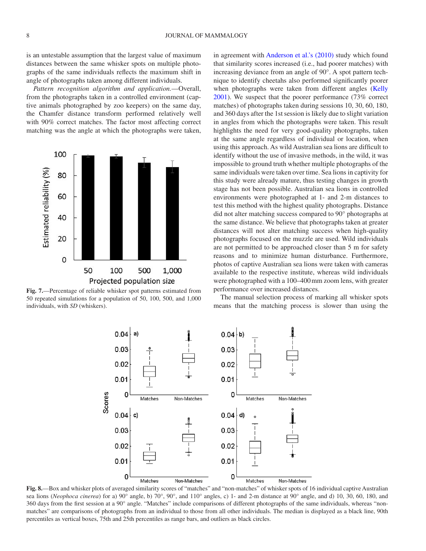is an untestable assumption that the largest value of maximum distances between the same whisker spots on multiple photographs of the same individuals reflects the maximum shift in angle of photographs taken among different individuals.

*Pattern recognition algorithm and application.*—Overall, from the photographs taken in a controlled environment (captive animals photographed by zoo keepers) on the same day, the Chamfer distance transform performed relatively well with 90% correct matches. The factor most affecting correct matching was the angle at which the photographs were taken,



<span id="page-7-0"></span>**Fig. 7.**—Percentage of reliable whisker spot patterns estimated from 50 repeated simulations for a population of 50, 100, 500, and 1,000 individuals, with *SD* (whiskers).

in agreement with [Anderson et](#page-9-26) al.'s (2010) study which found that similarity scores increased (i.e., had poorer matches) with increasing deviance from an angle of 90°. A spot pattern technique to identify cheetahs also performed significantly poorer when photographs were taken from different angles [\(Kelly](#page-9-6) [2001](#page-9-6)). We suspect that the poorer performance (73% correct matches) of photographs taken during sessions 10, 30, 60, 180, and 360 days after the 1st session is likely due to slight variation in angles from which the photographs were taken. This result highlights the need for very good-quality photographs, taken at the same angle regardless of individual or location, when using this approach. As wild Australian sea lions are difficult to identify without the use of invasive methods, in the wild, it was impossible to ground truth whether multiple photographs of the same individuals were taken over time. Sea lions in captivity for this study were already mature, thus testing changes in growth stage has not been possible. Australian sea lions in controlled environments were photographed at 1- and 2-m distances to test this method with the highest quality photographs. Distance did not alter matching success compared to 90° photographs at the same distance. We believe that photographs taken at greater distances will not alter matching success when high-quality photographs focused on the muzzle are used. Wild individuals are not permitted to be approached closer than 5 m for safety reasons and to minimize human disturbance. Furthermore, photos of captive Australian sea lions were taken with cameras available to the respective institute, whereas wild individuals were photographed with a 100–400mm zoom lens, with greater performance over increased distances.

The manual selection process of marking all whisker spots means that the matching process is slower than using the



<span id="page-7-1"></span>**Fig. 8.**—Box and whisker plots of averaged similarity scores of "matches" and "non-matches" of whisker spots of 16 individual captive Australian sea lions (*Neophoca cinerea*) for a) 90° angle, b) 70°, 90°, and 110° angles, c) 1- and 2-m distance at 90° angle, and d) 10, 30, 60, 180, and 360 days from the first session at a 90° angle. "Matches" include comparisons of different photographs of the same individuals, whereas "nonmatches" are comparisons of photographs from an individual to those from all other individuals. The median is displayed as a black line, 90th percentiles as vertical boxes, 75th and 25th percentiles as range bars, and outliers as black circles.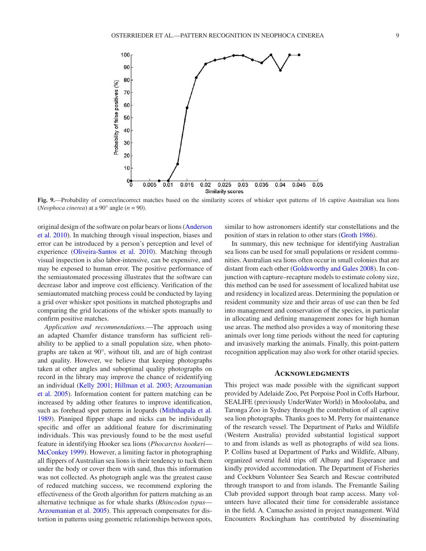

**Fig. 9.**—Probability of correct/incorrect matches based on the similarity scores of whisker spot patterns of 16 captive Australian sea lions (*Neophoca cinerea*) at a 90° angle (*n* = 90).

original design of the software on polar bears or lions [\(Anderson](#page-9-26) et [al. 2010\)](#page-9-26). In matching through visual inspection, biases and error can be introduced by a person's perception and level of experience [\(Oliveira-Santos et](#page-9-31) al. 2010). Matching through visual inspection is also labor-intensive, can be expensive, and may be exposed to human error. The positive performance of the semiautomated processing illustrates that the software can decrease labor and improve cost efficiency. Verification of the semiautomated matching process could be conducted by laying a grid over whisker spot positions in matched photographs and comparing the grid locations of the whisker spots manually to confirm positive matches.

*Application and recommendations.*—The approach using an adapted Chamfer distance transform has sufficient reliability to be applied to a small population size, when photographs are taken at 90°, without tilt, and are of high contrast and quality. However, we believe that keeping photographs taken at other angles and suboptimal quality photographs on record in the library may improve the chance of reidentifying an individual ([Kelly 2001](#page-9-6); [Hillman et](#page-9-32) al. 2003; [Arzoumanian](#page-9-33) et [al. 2005\)](#page-9-33). Information content for pattern matching can be increased by adding other features to improve identification, such as forehead spot patterns in leopards ([Miththapala et](#page-9-17) al. [1989](#page-9-17)). Pinniped flipper shape and nicks can be individually specific and offer an additional feature for discriminating individuals. This was previously found to be the most useful feature in identifying Hooker sea lions (*Phocarctos hookeri*— [McConkey 1999\)](#page-9-12). However, a limiting factor in photographing all flippers of Australian sea lions is their tendency to tuck them under the body or cover them with sand, thus this information was not collected. As photograph angle was the greatest cause of reduced matching success, we recommend exploring the effectiveness of the Groth algorithm for pattern matching as an alternative technique as for whale sharks (*Rhincodon typus*— [Arzoumanian et](#page-9-33) al. 2005). This approach compensates for distortion in patterns using geometric relationships between spots, <span id="page-8-0"></span>similar to how astronomers identify star constellations and the position of stars in relation to other stars [\(Groth 1986](#page-9-34)).

In summary, this new technique for identifying Australian sea lions can be used for small populations or resident communities. Australian sea lions often occur in small colonies that are distant from each other ([Goldsworthy and Gales 2008](#page-9-18)). In conjunction with capture–recapture models to estimate colony size, this method can be used for assessment of localized habitat use and residency in localized areas. Determining the population or resident community size and their areas of use can then be fed into management and conservation of the species, in particular in allocating and defining management zones for high human use areas. The method also provides a way of monitoring these animals over long time periods without the need for capturing and invasively marking the animals. Finally, this point-pattern recognition application may also work for other otariid species.

#### **Acknowledgments**

This project was made possible with the significant support provided by Adelaide Zoo, Pet Porpoise Pool in Coffs Harbour, SEALIFE (previously UnderWater World) in Mooloolaba, and Taronga Zoo in Sydney through the contribution of all captive sea lion photographs. Thanks goes to M. Perry for maintenance of the research vessel. The Department of Parks and Wildlife (Western Australia) provided substantial logistical support to and from islands as well as photographs of wild sea lions. P. Collins based at Department of Parks and Wildlife, Albany, organized several field trips off Albany and Esperance and kindly provided accommodation. The Department of Fisheries and Cockburn Volunteer Sea Search and Rescue contributed through transport to and from islands. The Fremantle Sailing Club provided support through boat ramp access. Many volunteers have allocated their time for considerable assistance in the field. A. Camacho assisted in project management. Wild Encounters Rockingham has contributed by disseminating